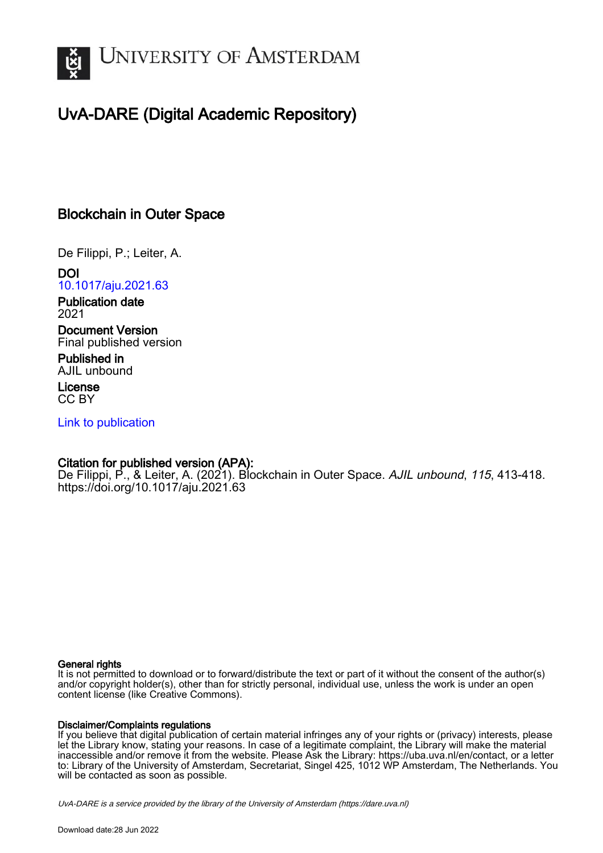

# UvA-DARE (Digital Academic Repository)

## Blockchain in Outer Space

De Filippi, P.; Leiter, A.

DOI [10.1017/aju.2021.63](https://doi.org/10.1017/aju.2021.63)

Publication date 2021

Document Version Final published version

Published in AJIL unbound

License CC BY

[Link to publication](https://dare.uva.nl/personal/pure/en/publications/blockchain-in-outer-space(80991649-71e9-44d4-9fdf-1a8a20e6a28d).html)

## Citation for published version (APA):

De Filippi, P., & Leiter, A. (2021). Blockchain in Outer Space. AJIL unbound, 115, 413-418. <https://doi.org/10.1017/aju.2021.63>

## General rights

It is not permitted to download or to forward/distribute the text or part of it without the consent of the author(s) and/or copyright holder(s), other than for strictly personal, individual use, unless the work is under an open content license (like Creative Commons).

## Disclaimer/Complaints regulations

If you believe that digital publication of certain material infringes any of your rights or (privacy) interests, please let the Library know, stating your reasons. In case of a legitimate complaint, the Library will make the material inaccessible and/or remove it from the website. Please Ask the Library: https://uba.uva.nl/en/contact, or a letter to: Library of the University of Amsterdam, Secretariat, Singel 425, 1012 WP Amsterdam, The Netherlands. You will be contacted as soon as possible.

UvA-DARE is a service provided by the library of the University of Amsterdam (http*s*://dare.uva.nl)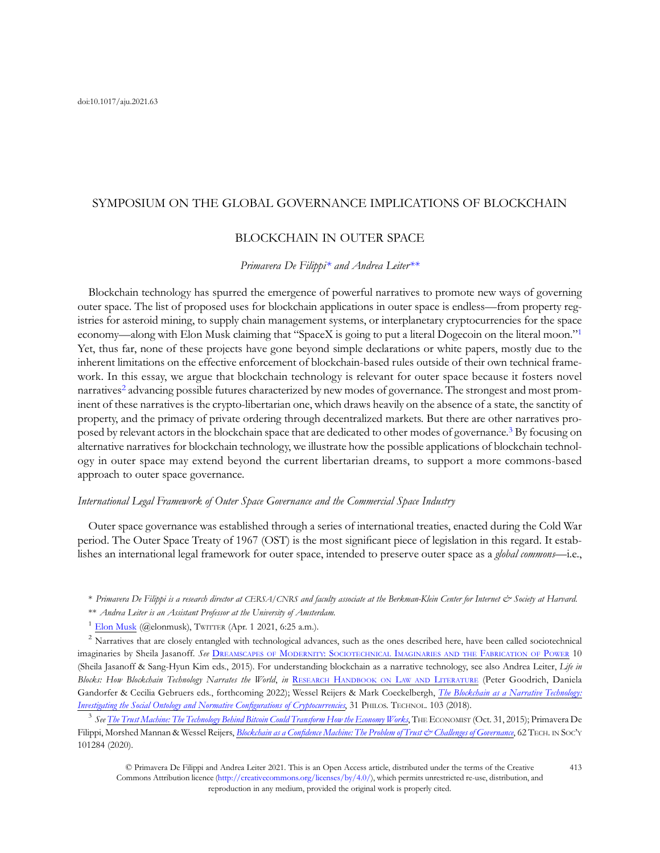## SYMPOSIUM ON THE GLOBAL GOVERNANCE IMPLICATIONS OF BLOCKCHAIN

### BLOCKCHAIN IN OUTER SPACE

### Primavera De Filippi\* and Andrea Leiter\*\*

Blockchain technology has spurred the emergence of powerful narratives to promote new ways of governing outer space. The list of proposed uses for blockchain applications in outer space is endless—from property registries for asteroid mining, to supply chain management systems, or interplanetary cryptocurrencies for the space economy—along with Elon Musk claiming that "SpaceX is going to put a literal Dogecoin on the literal moon."<sup>1</sup> Yet, thus far, none of these projects have gone beyond simple declarations or white papers, mostly due to the inherent limitations on the effective enforcement of blockchain-based rules outside of their own technical framework. In this essay, we argue that blockchain technology is relevant for outer space because it fosters novel narratives<sup>2</sup> advancing possible futures characterized by new modes of governance. The strongest and most prominent of these narratives is the crypto-libertarian one, which draws heavily on the absence of a state, the sanctity of property, and the primacy of private ordering through decentralized markets. But there are other narratives proposed by relevant actors in the blockchain space that are dedicated to other modes of governance.3 By focusing on alternative narratives for blockchain technology, we illustrate how the possible applications of blockchain technology in outer space may extend beyond the current libertarian dreams, to support a more commons-based approach to outer space governance.

#### International Legal Framework of Outer Space Governance and the Commercial Space Industry

Outer space governance was established through a series of international treaties, enacted during the Cold War period. The Outer Space Treaty of 1967 (OST) is the most significant piece of legislation in this regard. It establishes an international legal framework for outer space, intended to preserve outer space as a *global commons*—i.e.,

- \*\* Andrea Leiter is an Assistant Professor at the University of Amsterdam.
- $1$  [Elon Musk](https://twitter.com/elonmusk/status/1377567762919292938) (@elonmusk), TWITTER (Apr. 1 2021, 6:25 a.m.).

<sup>2</sup> Narratives that are closely entangled with technological advances, such as the ones described here, have been called sociotechnical imaginaries by Sheila Jasanoff. See DREAMSCAPES OF [MODERNITY: SOCIOTECHNICAL](https://press.uchicago.edu/ucp/books/book/chicago/D/bo20836025.html) IMAGINARIES AND THE FABRICATION OF POWER 10 (Sheila Jasanoff & Sang-Hyun Kim eds., 2015). For understanding blockchain as a narrative technology, see also Andrea Leiter, Life in Blocks: How Blockchain Technology Narrates the World, in RESEARCH [HANDBOOK ON](https://www.e-elgar.com/shop/usd/research-handbook-on-law-and-literature-9781839102257.html) LAW AND LITERATURE (Peter Goodrich, Daniela Gandorfer & Cecilia Gebruers eds., forthcoming 2022); Wessel Reijers & Mark Coeckelbergh, [The Blockchain as a Narrative Technology:](https://link.springer.com/article/10.1007/s13347-016-0239-x) [Investigating the Social Ontology and Normative Con](https://link.springer.com/article/10.1007/s13347-016-0239-x)figurations of Cryptocurrencies, 31 PHILOS. TECHNOL. 103 (2018).

 $3$  See [The Trust Machine: The Technology Behind Bitcoin Could Transform How the Economy Works](https://www.economist.com/leaders/2015/10/31/the-trust-machine), THE ECONOMIST (Oct. 31, 2015); Primavera De Filippi, Morshed Mannan & Wessel Reijers, Blockchain as a Confi[dence Machine: The Problem of Trust & Challenges of Governance](https://www.sciencedirect.com/science/article/pii/S0160791X20303067), 62 TECH. IN SOCY 101284 (2020).

© Primavera De Filippi and Andrea Leiter 2021. This is an Open Access article, distributed under the terms of the Creative Commons Attribution licence [\(http://creativecommons.org/licenses/by/4.0/](http://creativecommons.org/licenses/by/4.0/)), which permits unrestricted re-use, distribution, and reproduction in any medium, provided the original work is properly cited.

<sup>\*</sup> Primavera De Filippi is a research director at CERSA/CNRS and faculty associate at the Berkman-Klein Center for Internet & Society at Harvard.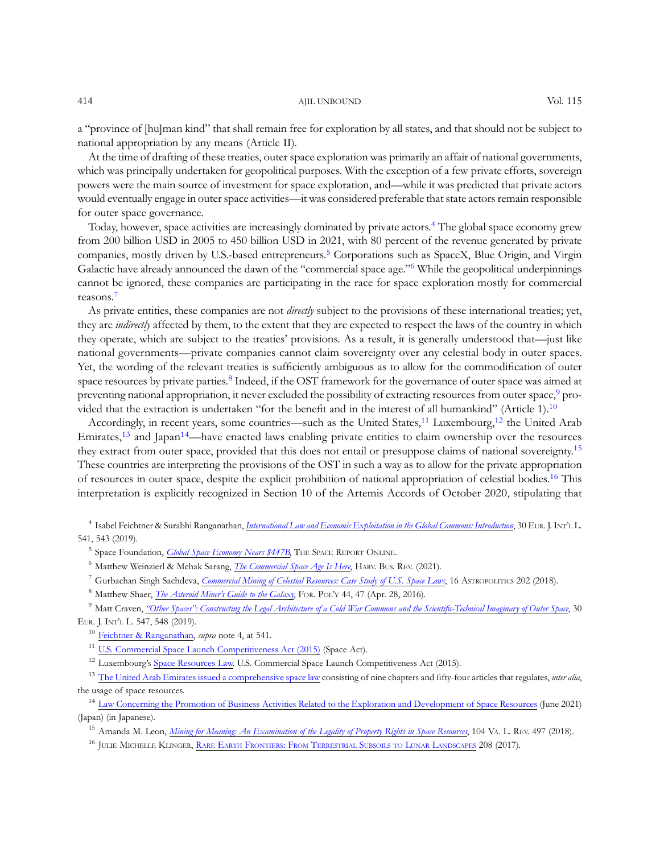#### 414 AJIL UNBOUND Vol. 115

At the time of drafting of these treaties, outer space exploration was primarily an affair of national governments, which was principally undertaken for geopolitical purposes. With the exception of a few private efforts, sovereign powers were the main source of investment for space exploration, and—while it was predicted that private actors would eventually engage in outer space activities—it was considered preferable that state actors remain responsible for outer space governance.

Today, however, space activities are increasingly dominated by private actors.<sup>4</sup> The global space economy grew from 200 billion USD in 2005 to 450 billion USD in 2021, with 80 percent of the revenue generated by private companies, mostly driven by U.S.-based entrepreneurs.<sup>5</sup> Corporations such as SpaceX, Blue Origin, and Virgin Galactic have already announced the dawn of the "commercial space age."<sup>6</sup> While the geopolitical underpinnings cannot be ignored, these companies are participating in the race for space exploration mostly for commercial reasons.7

As private entities, these companies are not *directly* subject to the provisions of these international treaties; yet, they are *indirectly* affected by them, to the extent that they are expected to respect the laws of the country in which they operate, which are subject to the treaties' provisions. As a result, it is generally understood that—just like national governments—private companies cannot claim sovereignty over any celestial body in outer spaces. Yet, the wording of the relevant treaties is sufficiently ambiguous as to allow for the commodification of outer space resources by private parties.<sup>8</sup> Indeed, if the OST framework for the governance of outer space was aimed at preventing national appropriation, it never excluded the possibility of extracting resources from outer space,<sup>9</sup> provided that the extraction is undertaken "for the benefit and in the interest of all humankind" (Article 1).<sup>10</sup>

Accordingly, in recent years, some countries—such as the United States,<sup>11</sup> Luxembourg,<sup>12</sup> the United Arab Emirates,<sup>13</sup> and Japan<sup>14</sup>—have enacted laws enabling private entities to claim ownership over the resources they extract from outer space, provided that this does not entail or presuppose claims of national sovereignty.<sup>15</sup> These countries are interpreting the provisions of the OST in such a way as to allow for the private appropriation of resources in outer space, despite the explicit prohibition of national appropriation of celestial bodies.<sup>16</sup> This interpretation is explicitly recognized in Section 10 of the Artemis Accords of October 2020, stipulating that

<sup>4</sup> Isabel Feichtner & Surabhi Ranganathan, [International Law and Economic Exploitation in the Global Commons: Introduction](https://academic.oup.com/ejil/article/30/2/541/5536740), 30 EUR. J. INT'<sup>L</sup> L. 541, 543 (2019).

<sup>5</sup> Space Foundation, *Global Space Economy Nears* \$447B, THE SPACE REPORT ONLINE.

 $6$  Matthew Weinzierl & Mehak Sarang, *[The Commercial Space Age Is Here](https://hbr.org/2021/02/the-commercial-space-age-is-here)*, HARV. Bus. REV. (2021).

<sup>7</sup> Gurbachan Singh Sachdeva, *[Commercial Mining of Celestial Resources: Case Study of U.S. Space Laws](https://www.tandfonline.com/doi/abs/10.1080/14777622.2018.1534312?journalCode=fast20)*, 16 ASTROPOLITICS 202 (2018).

<sup>8</sup> Matthew Shaer, *The Asteroid Miner'[s Guide to the Galaxy](https://foreignpolicy.com/2016/04/28/the-asteroid-miners-guide-to-the-galaxy-space-race-mining-asteroids-planetary-research-deep-space-industries/)*, For. PoL'y 44, 47 (Apr. 28, 2016).

<sup>9</sup> Matt Craven, "Other Spaces"[: Constructing the Legal Architecture of a Cold War Commons and the Scienti](https://academic.oup.com/ejil/article/30/2/547/5536739)fic-Technical Imaginary of Outer Space, 30 EUR. J. INT'<sup>L</sup> L. 547, 548 (2019).

<sup>10</sup> [Feichtner & Ranganathan](https://academic.oup.com/ejil/article/30/2/541/5536740), *supra* note 4, at 541.

<sup>11</sup> [U.S. Commercial Space Launch Competitiveness Act \(2015\)](https://www.congress.gov/bill/114th-congress/house-bill/2262/text) (Space Act).

<sup>12</sup> Luxembourg's [Space Resources Law.](https://www.moj.gov.ae/assets/2020/Federal%20Law%20No%2012%20of%202019%20on%20THE%20REGULATION%20OF%20THE%20SPACE%20SECTOR.pdf.aspx) U.S. Commercial Space Launch Competitiveness Act (2015).

<sup>13</sup> [The United Arab Emirates issued a comprehensive space law](https://www.moj.gov.ae/assets/2020/Federal%20Law%20No%2012%20of%202019%20on%20THE%20REGULATION%20OF%20THE%20SPACE%20SECTOR.pdf.aspx) consisting of nine chapters and fifty-four articles that regulates, *inter alia*, the usage of space resources.

<sup>14</sup> [Law Concerning the Promotion of Business Activities Related to the Exploration and Development of Space Resources](https://kanpou.npb.go.jp/old/20210623/20210623g00141/20210623g001410004f.html) (June 2021) (Japan) (in Japanese).

<sup>15</sup> Amanda M. Leon, *[Mining for Meaning: An Examination of the Legality of Property Rights in Space Resources](https://www.virginialawreview.org/articles/mining-meaning-examination-legality-property-rights-space-resources/)*, 104 VA. L. REV. 497 (2018).

<sup>16</sup> JULIE MICHELLE KLINGER, RARE EARTH [FRONTIERS: FROM](https://cornellopen.org/9781501714597/rare-earth-frontiers/) TERRESTRIAL SUBSOILS TO LUNAR LANDSCAPES 208 (2017).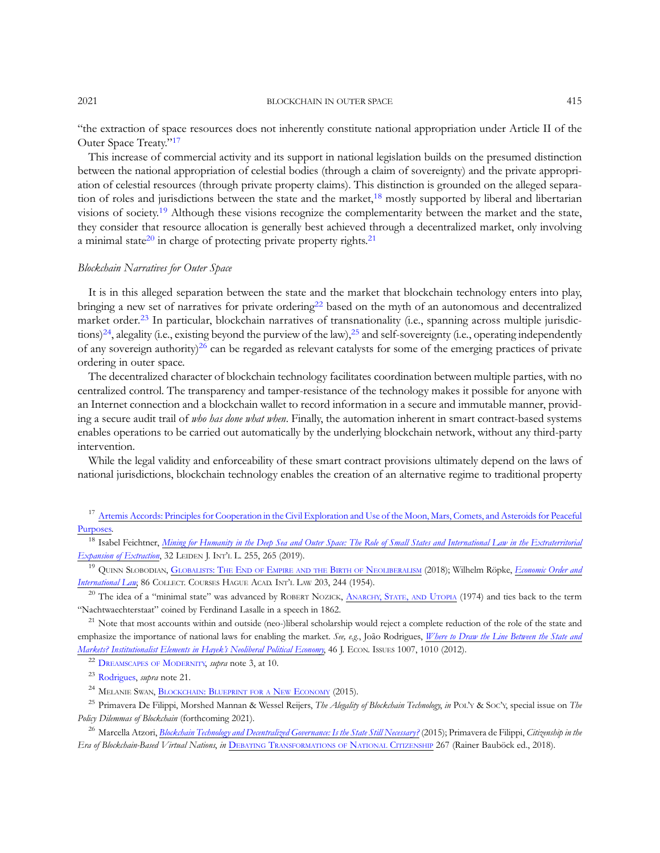"the extraction of space resources does not inherently constitute national appropriation under Article II of the Outer Space Treaty."<sup>17</sup>

This increase of commercial activity and its support in national legislation builds on the presumed distinction between the national appropriation of celestial bodies (through a claim of sovereignty) and the private appropriation of celestial resources (through private property claims). This distinction is grounded on the alleged separation of roles and jurisdictions between the state and the market,<sup>18</sup> mostly supported by liberal and libertarian visions of society.<sup>19</sup> Although these visions recognize the complementarity between the market and the state, they consider that resource allocation is generally best achieved through a decentralized market, only involving a minimal state<sup>20</sup> in charge of protecting private property rights.<sup>21</sup>

## Blockchain Narratives for Outer Space

It is in this alleged separation between the state and the market that blockchain technology enters into play, bringing a new set of narratives for private ordering<sup>22</sup> based on the myth of an autonomous and decentralized market order.<sup>23</sup> In particular, blockchain narratives of transnationality (i.e., spanning across multiple jurisdictions)<sup>24</sup>, alegality (i.e., existing beyond the purview of the law),<sup>25</sup> and self-sovereignty (i.e., operating independently of any sovereign authority)<sup>26</sup> can be regarded as relevant catalysts for some of the emerging practices of private ordering in outer space.

The decentralized character of blockchain technology facilitates coordination between multiple parties, with no centralized control. The transparency and tamper-resistance of the technology makes it possible for anyone with an Internet connection and a blockchain wallet to record information in a secure and immutable manner, providing a secure audit trail of who has done what when. Finally, the automation inherent in smart contract-based systems enables operations to be carried out automatically by the underlying blockchain network, without any third-party intervention.

While the legal validity and enforceability of these smart contract provisions ultimately depend on the laws of national jurisdictions, blockchain technology enables the creation of an alternative regime to traditional property

<sup>17</sup> [Artemis Accords: Principles for Cooperation in the Civil Exploration and Use of the Moon, Mars, Comets, and Asteroids for Peaceful](https://www.nasa.gov/specials/artemis-accords/img/Artemis-Accords-signed-13Oct2020.pdf) [Purposes.](https://www.nasa.gov/specials/artemis-accords/img/Artemis-Accords-signed-13Oct2020.pdf)

<sup>18</sup> Isabel Feichtner, [Mining for Humanity in the Deep Sea and Outer Space: The Role of Small States and International Law in the Extraterritorial](https://www.cambridge.org/core/journals/leiden-journal-of-international-law/article/mining-for-humanity-in-the-deep-sea-and-outer-space-the-role-of-small-states-and-international-law-in-the-extraterritorial-expansion-of-extraction/03DD7A15D7C82D5C2BAFAA7014698B6F) [Expansion of Extraction](https://www.cambridge.org/core/journals/leiden-journal-of-international-law/article/mining-for-humanity-in-the-deep-sea-and-outer-space-the-role-of-small-states-and-international-law-in-the-extraterritorial-expansion-of-extraction/03DD7A15D7C82D5C2BAFAA7014698B6F), 32 LEIDEN J. INT'L L. 255, 265 (2019).

<sup>19</sup> QUINN SLOBODIAN, [GLOBALISTS: THE](https://www.hup.harvard.edu/catalog.php?isbn=9780674979529) END OF EMPIRE AND THE BIRTH OF NEOLIBERALISM (2018); Wilhelm Röpke, *[Economic Order and](https://referenceworks.brillonline.com/entries/the-hague-academy-collected-courses/*A9789028612327_03)* [International Law](https://referenceworks.brillonline.com/entries/the-hague-academy-collected-courses/*A9789028612327_03), 86 COLLECT. COURSES HAGUE ACAD. INT'<sup>L</sup> LAW 203, 244 (1954).

<sup>20</sup> The idea of a "minimal state" was advanced by ROBERT NOZICK, [ANARCHY, STATE,](https://www.basicbooks.com/titles/robert-nozick/anarchy-state-and-utopia/9780465051007/) AND UTOPIA (1974) and ties back to the term "Nachtwaechterstaat" coined by Ferdinand Lasalle in a speech in 1862.

<sup>21</sup> Note that most accounts within and outside (neo-)liberal scholarship would reject a complete reduction of the role of the state and emphasize the importance of national laws for enabling the market. See, e.g., João Rodrigues, [Where to Draw the Line Between the State and](https://www.tandfonline.com/doi/abs/10.2753/JEI0021-3624460409) [Markets? Institutionalist Elements in Hayek](https://www.tandfonline.com/doi/abs/10.2753/JEI0021-3624460409)'s Neoliberal Political Economy, 46 J. ECON. ISSUES 1007, 1010 (2012).

<sup>22</sup> [DREAMSCAPES OF](https://press.uchicago.edu/ucp/books/book/chicago/D/bo20836025.html) MODERNITY, *supra* note 3, at 10.

<sup>23</sup> [Rodrigues,](https://www.tandfonline.com/doi/abs/10.2753/JEI0021-3624460409) *supra* note 21.

<sup>24</sup> MELANIE SWAN, [BLOCKCHAIN: BLUEPRINT FOR A](https://www.oreilly.com/library/view/blockchain/9781491920480/) NEW ECONOMY (2015).

<sup>25</sup> Primavera De Filippi, Morshed Mannan & Wessel Reijers, The Alegality of Blockchain Technology, in POL'Y & SOC'Y, special issue on The Policy Dilemmas of Blockchain (forthcoming 2021).

<sup>26</sup> Marcella Atzori, [Blockchain Technology and Decentralized Governance: Is the State Still Necessary?](https://papers.ssrn.com/sol3/papers.cfm?abstract_id=2709713) (2015); Primavera de Filippi, Citizenship in the Era of Blockchain-Based Virtual Nations, in DEBATING [TRANSFORMATIONS OF](https://link.springer.com/book/10.1007/978-3-319-92719-0) NATIONAL CITIZENSHIP 267 (Rainer Bauböck ed., 2018).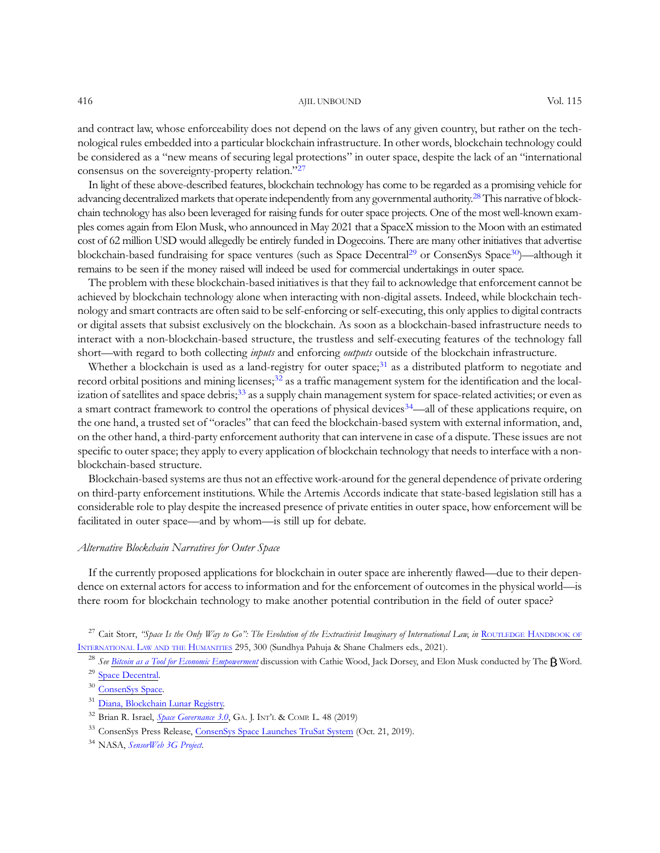#### 416 AJIL UNBOUND Vol. 115

and contract law, whose enforceability does not depend on the laws of any given country, but rather on the technological rules embedded into a particular blockchain infrastructure. In other words, blockchain technology could be considered as a "new means of securing legal protections" in outer space, despite the lack of an "international consensus on the sovereignty-property relation."<sup>27</sup>

In light of these above-described features, blockchain technology has come to be regarded as a promising vehicle for advancing decentralized markets that operate independently from any governmental authority.<sup>28</sup> This narrative of blockchain technology has also been leveraged for raising funds for outer space projects. One of the most well-known examples comes again from Elon Musk, who announced in May 2021 that a SpaceX mission to the Moon with an estimated cost of 62 million USD would allegedly be entirely funded in Dogecoins. There are many other initiatives that advertise blockchain-based fundraising for space ventures (such as Space Decentral<sup>29</sup> or ConsenSys Space<sup>30</sup>)—although it remains to be seen if the money raised will indeed be used for commercial undertakings in outer space.

The problem with these blockchain-based initiatives is that they fail to acknowledge that enforcement cannot be achieved by blockchain technology alone when interacting with non-digital assets. Indeed, while blockchain technology and smart contracts are often said to be self-enforcing or self-executing, this only applies to digital contracts or digital assets that subsist exclusively on the blockchain. As soon as a blockchain-based infrastructure needs to interact with a non-blockchain-based structure, the trustless and self-executing features of the technology fall short—with regard to both collecting *inputs* and enforcing *outputs* outside of the blockchain infrastructure.

Whether a blockchain is used as a land-registry for outer space;<sup>31</sup> as a distributed platform to negotiate and record orbital positions and mining licenses;<sup>32</sup> as a traffic management system for the identification and the localization of satellites and space debris;<sup>33</sup> as a supply chain management system for space-related activities; or even as a smart contract framework to control the operations of physical devices<sup>34</sup>—all of these applications require, on the one hand, a trusted set of "oracles" that can feed the blockchain-based system with external information, and, on the other hand, a third-party enforcement authority that can intervene in case of a dispute. These issues are not specific to outer space; they apply to every application of blockchain technology that needs to interface with a nonblockchain-based structure.

Blockchain-based systems are thus not an effective work-around for the general dependence of private ordering on third-party enforcement institutions. While the Artemis Accords indicate that state-based legislation still has a considerable role to play despite the increased presence of private entities in outer space, how enforcement will be facilitated in outer space—and by whom—is still up for debate.

#### Alternative Blockchain Narratives for Outer Space

If the currently proposed applications for blockchain in outer space are inherently flawed—due to their dependence on external actors for access to information and for the enforcement of outcomes in the physical world—is there room for blockchain technology to make another potential contribution in the field of outer space?

<sup>27</sup> Cait Storr, "Space Is the Only Way to Go": The Evolution of the Extractivist Imaginary of International Law, in ROUTLEDGE [HANDBOOK OF](https://www.routledge.com/Routledge-Handbook-of-International-Law-and-the-Humanities/Chalmers-Pahuja/p/book/9780367420741) [INTERNATIONAL](https://www.routledge.com/Routledge-Handbook-of-International-Law-and-the-Humanities/Chalmers-Pahuja/p/book/9780367420741) LAW AND THE HUMANITIES 295, 300 (Sundhya Pahuja & Shane Chalmers eds., 2021).

<sup>29</sup> [Space Decentral.](https://spacedecentral.net/)

<sup>31</sup> [Diana, Blockchain Lunar Registry.](https://www.diana.io)

<sup>&</sup>lt;sup>28</sup> See [Bitcoin as a Tool for Economic Empowerment](https://www.youtube.com/watch?v=Zwx_7XAJ3p0) discussion with Cathie Wood, Jack Dorsey, and Elon Musk conducted by The  $\ddot{\textbf{B}}$  Word.

<sup>30</sup> [ConsenSys Space.](https://www.consensys.space/)

<sup>&</sup>lt;sup>32</sup> Brian R. Israel, *Space Governance* 3.0, GA. J. INT'L & COMP. L. 48 (2019)

<sup>33</sup> ConsenSys Press Release, [ConsenSys Space Launches TruSat System](https://consensys.net/blog/press-release/consensys-space-launches-trusat-system/) (Oct. 21, 2019).

<sup>&</sup>lt;sup>34</sup> NASA, [SensorWeb 3G Project](https://esto.nasa.gov/sensorweb-3g-project/).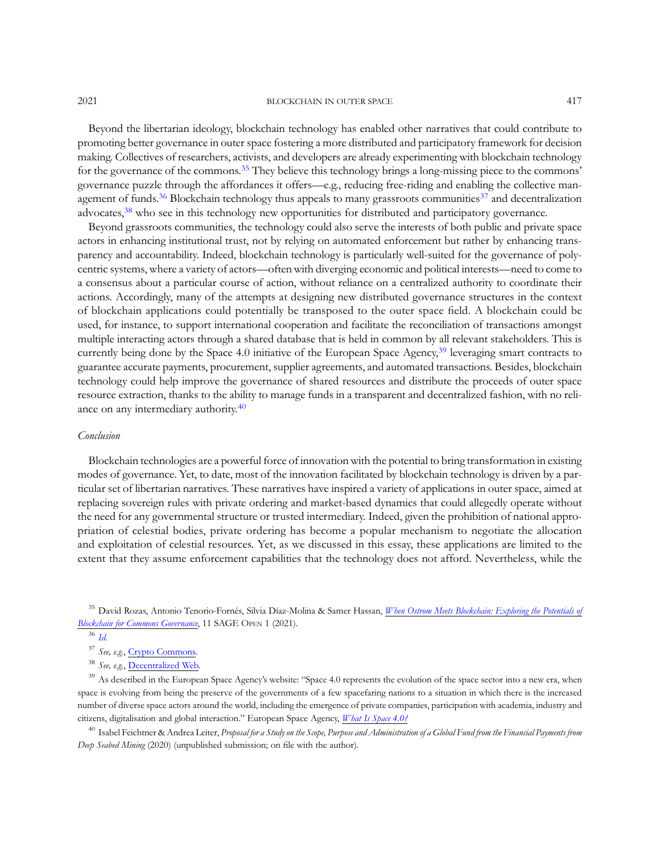Beyond the libertarian ideology, blockchain technology has enabled other narratives that could contribute to promoting better governance in outer space fostering a more distributed and participatory framework for decision making. Collectives of researchers, activists, and developers are already experimenting with blockchain technology for the governance of the commons.<sup>35</sup> They believe this technology brings a long-missing piece to the commons' governance puzzle through the affordances it offers—e.g., reducing free-riding and enabling the collective management of funds.<sup>36</sup> Blockchain technology thus appeals to many grassroots communities<sup>37</sup> and decentralization advocates,<sup>38</sup> who see in this technology new opportunities for distributed and participatory governance.

Beyond grassroots communities, the technology could also serve the interests of both public and private space actors in enhancing institutional trust, not by relying on automated enforcement but rather by enhancing transparency and accountability. Indeed, blockchain technology is particularly well-suited for the governance of polycentric systems, where a variety of actors—often with diverging economic and political interests—need to come to a consensus about a particular course of action, without reliance on a centralized authority to coordinate their actions. Accordingly, many of the attempts at designing new distributed governance structures in the context of blockchain applications could potentially be transposed to the outer space field. A blockchain could be used, for instance, to support international cooperation and facilitate the reconciliation of transactions amongst multiple interacting actors through a shared database that is held in common by all relevant stakeholders. This is currently being done by the Space 4.0 initiative of the European Space Agency,<sup>39</sup> leveraging smart contracts to guarantee accurate payments, procurement, supplier agreements, and automated transactions. Besides, blockchain technology could help improve the governance of shared resources and distribute the proceeds of outer space resource extraction, thanks to the ability to manage funds in a transparent and decentralized fashion, with no reliance on any intermediary authority.<sup>40</sup>

#### Conclusion

Blockchain technologies are a powerful force of innovation with the potential to bring transformation in existing modes of governance. Yet, to date, most of the innovation facilitated by blockchain technology is driven by a particular set of libertarian narratives. These narratives have inspired a variety of applications in outer space, aimed at replacing sovereign rules with private ordering and market-based dynamics that could allegedly operate without the need for any governmental structure or trusted intermediary. Indeed, given the prohibition of national appropriation of celestial bodies, private ordering has become a popular mechanism to negotiate the allocation and exploitation of celestial resources. Yet, as we discussed in this essay, these applications are limited to the extent that they assume enforcement capabilities that the technology does not afford. Nevertheless, while the

<sup>35</sup> David Rozas, Antonio Tenorio-Fornés, Silvia Díaz-Molina & Samer Hassan, *[When Ostrom Meets Blockchain: Exploring the Potentials of](https://journals.sagepub.com/doi/10.1177/21582440211002526)* [Blockchain for Commons Governance](https://journals.sagepub.com/doi/10.1177/21582440211002526), 11 SAGE OPEN 1 (2021).

<sup>39</sup> As described in the European Space Agency's website: "Space 4.0 represents the evolution of the space sector into a new era, when space is evolving from being the preserve of the governments of a few spacefaring nations to a situation in which there is the increased number of diverse space actors around the world, including the emergence of private companies, participation with academia, industry and citizens, digitalisation and global interaction." European Space Agency, [What Is Space 4.0?](https://www.esa.int/About_Us/Ministerial_Council_2016/What_is_space_4.0)

 $^{40}$  Isabel Feichtner & Andrea Leiter, Proposal for a Study on the Scope, Purpose and Administration of a Global Fund from the Financial Payments from Deep Seabed Mining (2020) (unpublished submission; on file with the author).

 $36$  [Id.](https://journals.sagepub.com/doi/10.1177/21582440211002526)

<sup>37</sup> See, e.g., [Crypto Commons.](https://www.crypto-commons.org)

<sup>&</sup>lt;sup>38</sup> See, e.g., [Decentralized Web.](https://www.decentralizedweb.net)